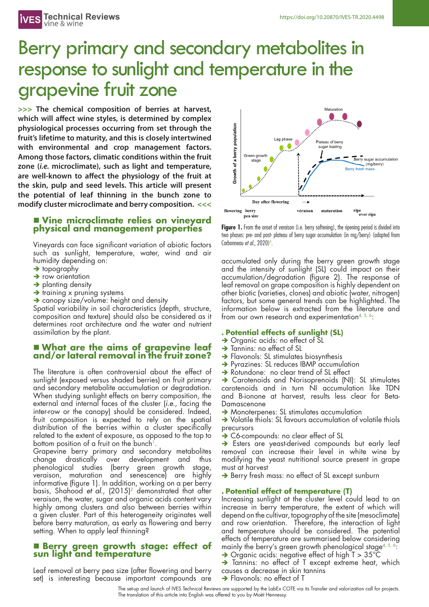# Berry primary and secondary metabolites in response to sunlight and temperature in the grapevine fruit zone

**>>> The chemical composition of berries at harvest, which will affect wine styles, is determined by complex physiological processes occurring from set through the fruit's lifetime to maturity, and this is closely intertwined with environmental and crop management factors. Among those factors, climatic conditions within the fruit zone (***i.e.* **microclimate), such as light and temperature, are well-known to affect the physiology of the fruit at the skin, pulp and seed levels. This article will present the potential of leaf thinning in the bunch zone to modify cluster microclimate and berry composition. <<<**

# <sup>n</sup> **Vine microclimate relies on vineyard physical and management properties**

Vineyards can face significant variation of abiotic factors such as sunlight, temperature, water, wind and air humidity depending on:

- $\rightarrow$  topography
- $\rightarrow$  row orientation
- $\rightarrow$  planting density
- $\rightarrow$  training x pruning systems
- $\rightarrow$  canopy size/volume: height and density

Spatial variability in soil characteristics (depth, structure, composition and texture) should also be considered as it determines root architecture and the water and nutrient assimilation by the plant.

# <sup>n</sup> **What are the aims of grapevine leaf and/or lateral removal in the fruit zone?**

The literature is often controversial about the effect of sunlight (exposed versus shaded berries) on fruit primary and secondary metabolite accumulation or degradation. When studying sunlight effects on berry composition, the external and internal faces of the cluster (*i.e.*, facing the inter-row or the canopy) should be considered. Indeed, fruit composition is expected to rely on the spatial distribution of the berries within a cluster specifically related to the extent of exposure, as opposed to the top to bottom position of a fruit on the bunch<sup>1</sup>

Grapevine berry primary and secondary metabolites change drastically over development and thus phenological studies (berry green growth stage, veraison, maturation and senescence) are highly informative (figure 1). In addition, working on a per berry basis, Shahood *et al.*, (2015)2 demonstrated that after veraison, the water, sugar and organic acids content vary highly among clusters and also between berries within a given cluster. Part of this heterogeneity originates well before berry maturation, as early as flowering and berry setting. When to apply leaf thinning?

### <sup>n</sup> **Berry green growth stage: effect of sun light and temperature**

Leaf removal at berry pea size (after flowering and berry set) is interesting because important compounds are



Figure 1. From the onset of veraison (i.e. berry softening), the ripening period is divided into two phases: pre- and post- plateau of berry sugar accumulation (in mg/berry) (adapted from Carbonneau *et al.*, 2020)<sup>3</sup>.

accumulated only during the berry green growth stage and the intensity of sunlight (SL) could impact on their accumulation/degradation (figure 2). The response of leaf removal on grape composition is highly dependent on other biotic (varieties, clones) and abiotic (water, nitrogen) factors, but some general trends can be highlighted. The information below is extracted from the literature and from our own research and experimentation<sup>4, 5, 6</sup>:

#### **. Potential effects of sunlight (SL)**

- → Organic acids: no effect of SL
- > Tannins: no effect of SL
- $\rightarrow$  Flavonols: SL stimulates biosynthesis
- → Pyrazines: SL reduces IBMP accumulation
- → Rotundone: no clear trend of SL effect

• Carotenoids and Norisoprenoids (NI): SL stimulates carotenoids and in turn NI accumulation like TDN and B-ionone at harvest, results less clear for Beta-Damascenone

 $\rightarrow$  Monoterpenes: SL stimulates accumulation

 $\rightarrow$  Volatile thiols: SL favours accumulation of volatile thiols precursors

→ C6-compounds: no clear effect of SL

 $\rightarrow$  Esters are yeast-derived compounds but early leaf removal can increase their level in white wine by modifying the yeast nutritional source present in grape must at harvest

→ Berry fresh mass: no effect of SL except sunburn

#### **. Potential effect of temperature (T)**

Increasing sunlight at the cluster level could lead to an increase in berry temperature, the extent of which will depend on the cultivar, topography of the site (mesoclimate) and row orientation. Therefore, the interaction of light and temperature should be considered. The potential effects of temperature are summarised below considering mainly the berry's green growth phenological stage<sup>4, 5, 6</sup>: → Organic acids: negative effect of high T > 35°C

- 
- > Tannins: no effect of T except extreme heat, which causes a decrease in skin tannins
- **→** Flavonols: no effect of T